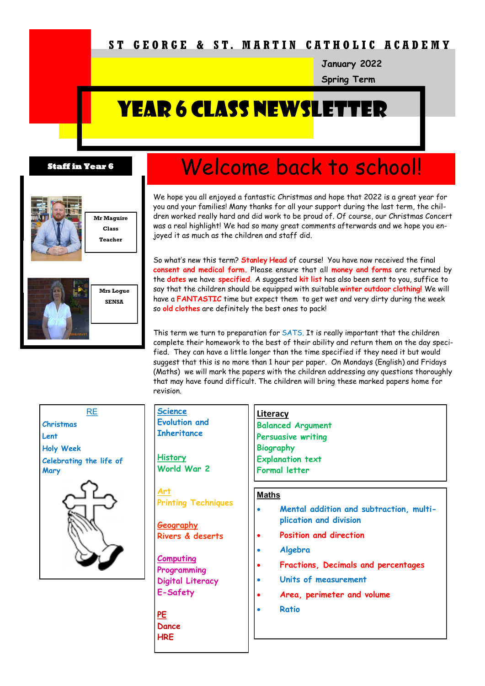# **S T G E O R G E & S T. M A R T I N C A T H O L I C A C A D E M Y**

**January 2022**

**Spring Term**

# YEAR 6 CLASS NEWSLET

#### **Staff in Year 6**



**Mr Maguire Class Teacher**



# Welcome back to school!

We hope you all enjoyed a fantastic Christmas and hope that 2022 is a great year for you and your families! Many thanks for all your support during the last term, the children worked really hard and did work to be proud of. Of course, our Christmas Concert was a real highlight! We had so many great comments afterwards and we hope you enjoyed it as much as the children and staff did.

So what's new this term? **Stanley Head** of course! You have now received the final **consent and medical form.** Please ensure that all **money and forms** are returned by the **dates** we have **specified**. A suggested **kit list** has also been sent to you, suffice to say that the children should be equipped with suitable **winter outdoor clothing!** We will have a **FANTASTIC** time but expect them to get wet and very dirty during the week so **old clothes** are definitely the best ones to pack!

This term we turn to preparation for SATS. It is really important that the children complete their homework to the best of their ability and return them on the day specified. They can have a little longer than the time specified if they need it but would suggest that this is no more than 1 hour per paper. On Mondays (English) and Fridays (Maths) we will mark the papers with the children addressing any questions thoroughly that may have found difficult. The children will bring these marked papers home for revision.

| RE                              | Sci<br>Evo        |
|---------------------------------|-------------------|
| Christmas                       |                   |
| Lent                            | Ink               |
| <b>Holy Week</b>                |                   |
| Celebrating the life of<br>Mary | His<br>Wo         |
|                                 |                   |
|                                 | <u>Ge</u><br>Riv  |
|                                 | Col<br>Pro<br>Dig |
|                                 |                   |

| <b>Science</b><br><b>Evolution and</b><br><b>Inheritance</b><br><b>History</b> | <b>Literacy</b><br><b>Balanced Argument</b><br><b>Persuasive writing</b><br><b>Biography</b><br><b>Explanation text</b> |
|--------------------------------------------------------------------------------|-------------------------------------------------------------------------------------------------------------------------|
| World War 2                                                                    | <b>Formal letter</b>                                                                                                    |
| <u>Art</u><br><b>Printing Techniques</b>                                       | <b>Maths</b>                                                                                                            |
| <b>Geography</b>                                                               | Mental addition and subtraction, multi-<br>plication and division                                                       |
| Rivers & deserts                                                               | <b>Position and direction</b>                                                                                           |
| <b>Computing</b><br>Programming<br>Digital Literacy<br>E-Safety                | Algebra<br>Fractions, Decimals and percentages<br>Units of measurement<br>Area, perimeter and volume                    |
| <u>PE</u><br>Dance<br><b>HRE</b>                                               | <b>Ratio</b>                                                                                                            |